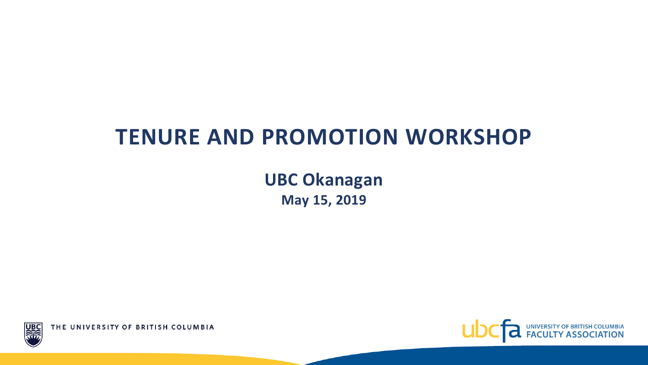#### **TENURE AND PROMOTION WORKSHOP**

**UBC Okanagan May 15, 2019**



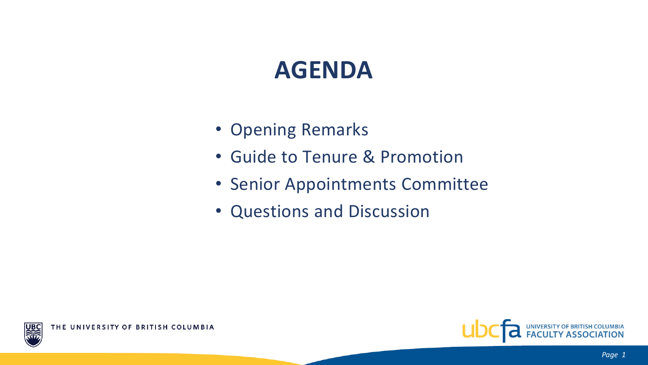#### **AGENDA**

- Opening Remarks
- Guide to Tenure & Promotion
- Senior Appointments Committee
- Questions and Discussion

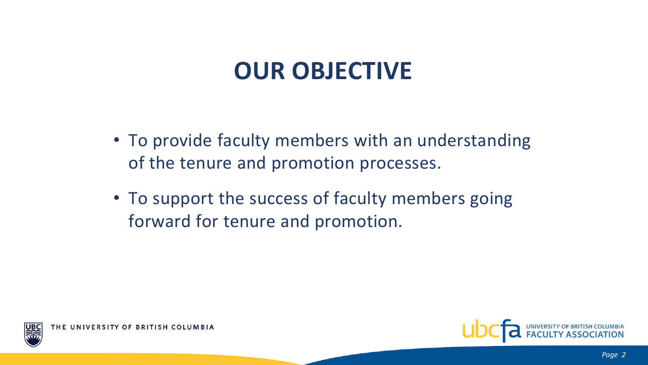## **OUR OBJECTIVE**

- To provide faculty members with an understanding of the tenure and promotion processes.
- To support the success of faculty members going forward for tenure and promotion.



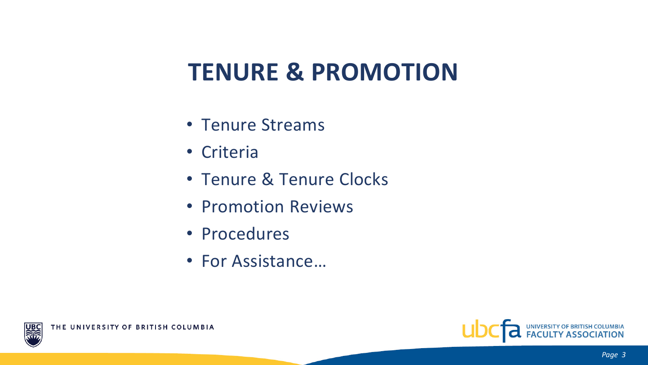# **TENURE & PROMOTION**

- Tenure Streams
- Criteria
- Tenure & Tenure Clocks
- Promotion Reviews
- Procedures
- For Assistance…



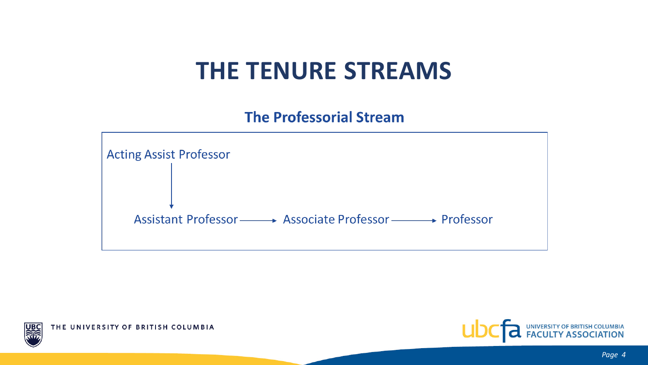#### **THE TENURE STREAMS**

**The Professorial Stream** 





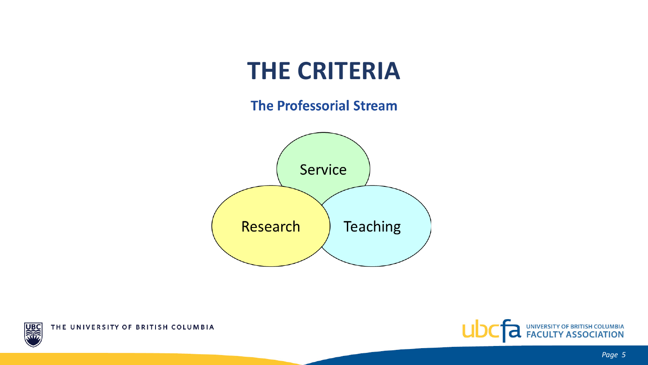### **THE CRITERIA**

#### **The Professorial Stream**





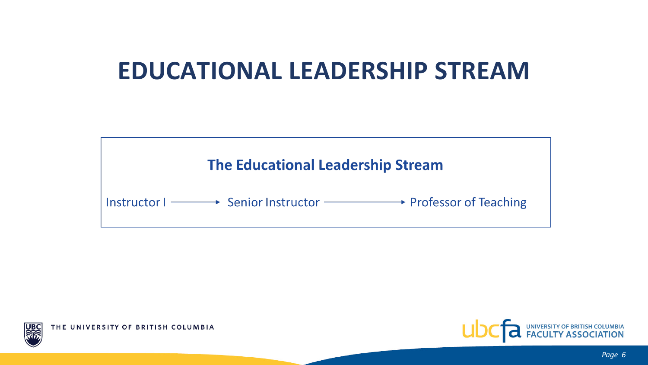### **EDUCATIONAL LEADERSHIP STREAM**





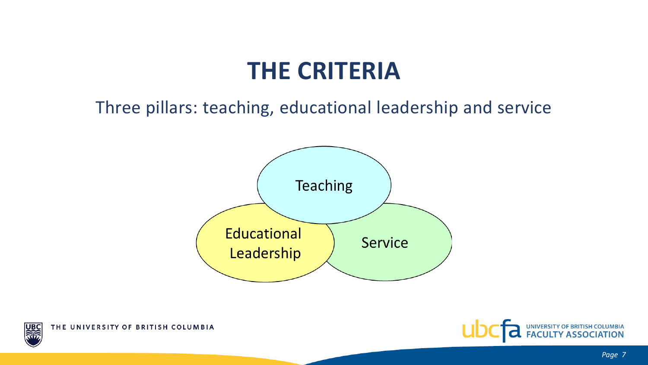#### **THE CRITERIA**

#### Three pillars: teaching, educational leadership and service





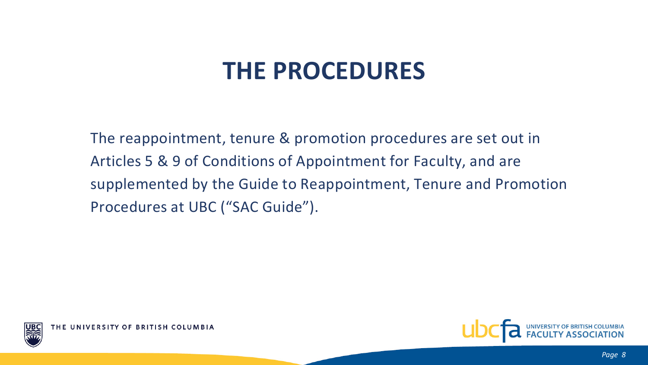## **THE PROCEDURES**

The reappointment, tenure & promotion procedures are set out in Articles 5 & 9 of Conditions of Appointment for Faculty, and are supplemented by the Guide to Reappointment, Tenure and Promotion Procedures at UBC ("SAC Guide").



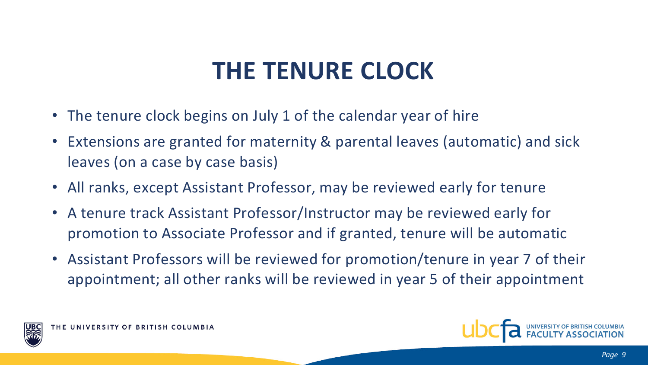# **THE TENURE CLOCK**

- The tenure clock begins on July 1 of the calendar year of hire
- Extensions are granted for maternity & parental leaves (automatic) and sick leaves (on a case by case basis)
- All ranks, except Assistant Professor, may be reviewed early for tenure
- A tenure track Assistant Professor/Instructor may be reviewed early for promotion to Associate Professor and if granted, tenure will be automatic
- Assistant Professors will be reviewed for promotion/tenure in year 7 of their appointment; all other ranks will be reviewed in year 5 of their appointment





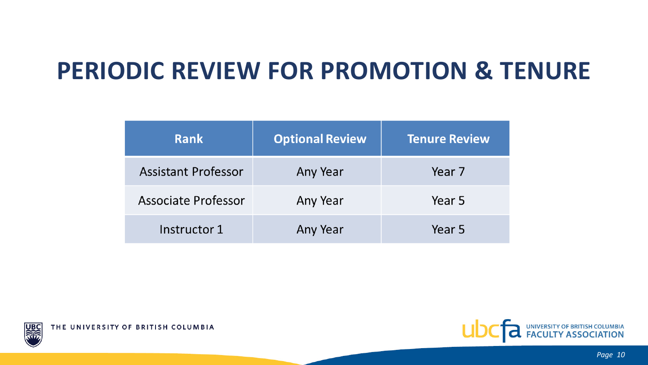# **PERIODIC REVIEW FOR PROMOTION & TENURE**

| <b>Rank</b>                | <b>Optional Review</b> | <b>Tenure Review</b> |
|----------------------------|------------------------|----------------------|
| <b>Assistant Professor</b> | Any Year               | Year 7               |
| Associate Professor        | Any Year               | Year 5               |
| Instructor 1               | Any Year               | Year 5               |

THE UNIVERSITY OF BRITISH COLUMBIA

JB

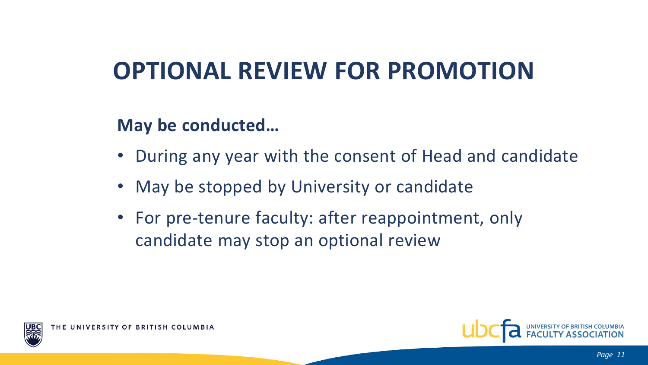# **OPTIONAL REVIEW FOR PROMOTION**

#### **May be conducted…**

- During any year with the consent of Head and candidate
- May be stopped by University or candidate
- For pre-tenure faculty: after reappointment, only candidate may stop an optional review



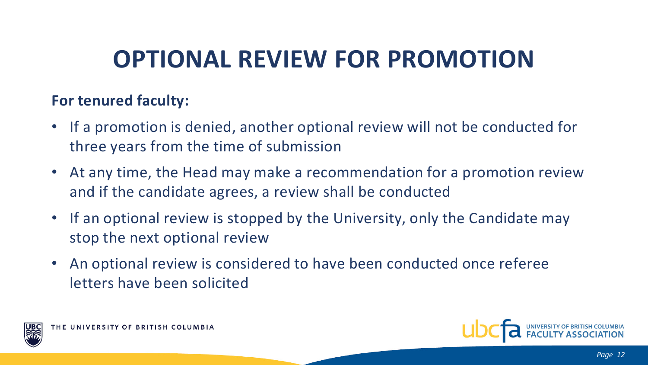# **OPTIONAL REVIEW FOR PROMOTION**

#### **For tenured faculty:**

- If a promotion is denied, another optional review will not be conducted for three years from the time of submission
- At any time, the Head may make a recommendation for a promotion review and if the candidate agrees, a review shall be conducted
- If an optional review is stopped by the University, only the Candidate may stop the next optional review
- An optional review is considered to have been conducted once referee letters have been solicited



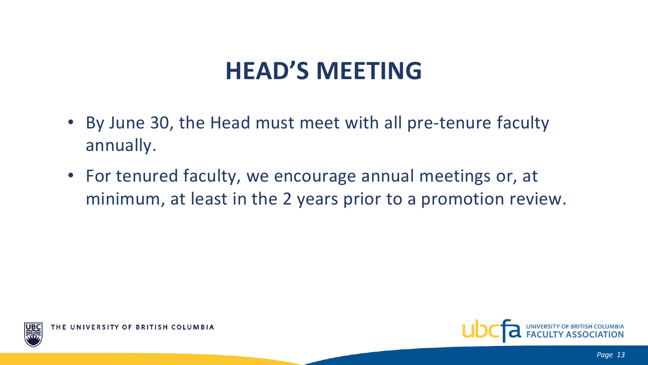## **HEAD'S MEETING**

- By June 30, the Head must meet with all pre-tenure faculty annually.
- For tenured faculty, we encourage annual meetings or, at minimum, at least in the 2 years prior to a promotion review.



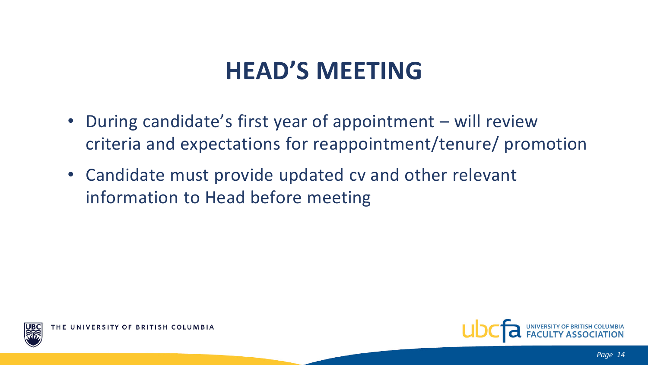# **HEAD'S MEETING**

- During candidate's first year of appointment will review criteria and expectations for reappointment/tenure/ promotion
- Candidate must provide updated cv and other relevant information to Head before meeting



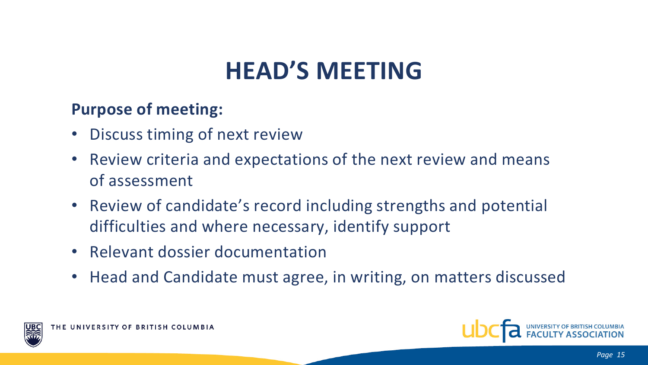# **HEAD'S MEETING**

#### **Purpose of meeting:**

- Discuss timing of next review
- Review criteria and expectations of the next review and means of assessment
- Review of candidate's record including strengths and potential difficulties and where necessary, identify support
- Relevant dossier documentation
- Head and Candidate must agree, in writing, on matters discussed



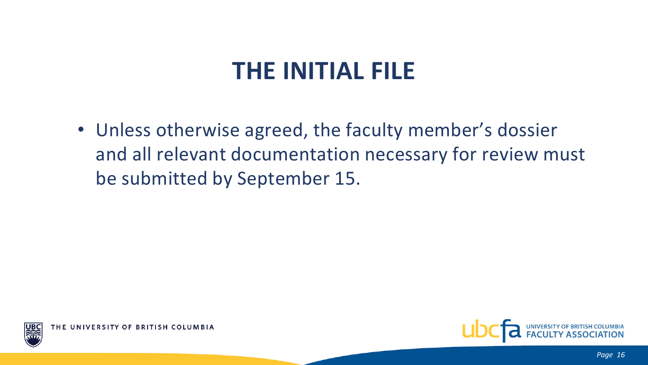## **THE INITIAL FILE**

• Unless otherwise agreed, the faculty member's dossier and all relevant documentation necessary for review must be submitted by September 15.



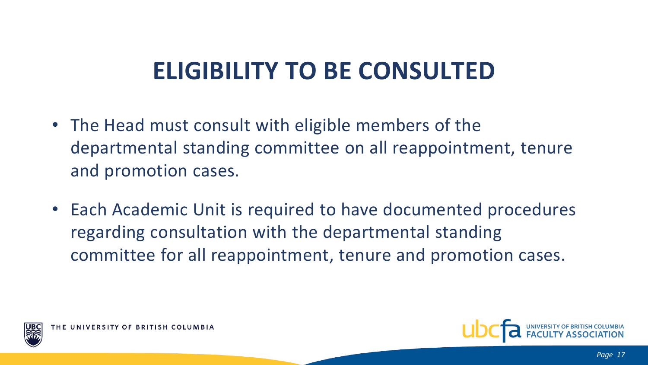# **ELIGIBILITY TO BE CONSULTED**

- The Head must consult with eligible members of the departmental standing committee on all reappointment, tenure and promotion cases.
- Each Academic Unit is required to have documented procedures regarding consultation with the departmental standing committee for all reappointment, tenure and promotion cases.



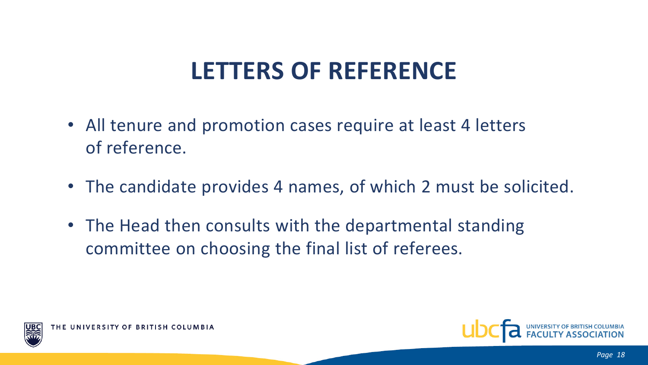# **LETTERS OF REFERENCE**

- All tenure and promotion cases require at least 4 letters of reference.
- The candidate provides 4 names, of which 2 must be solicited.
- The Head then consults with the departmental standing committee on choosing the final list of referees.



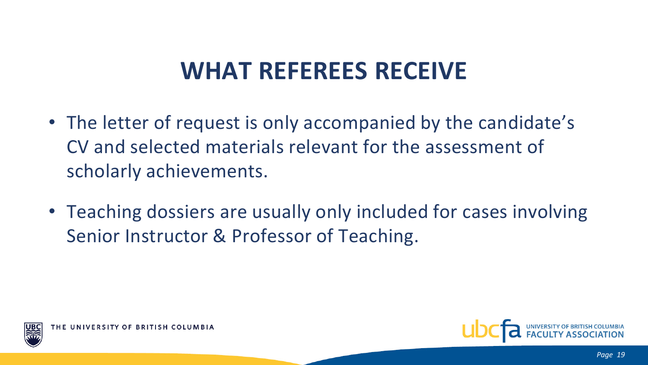# **WHAT REFEREES RECEIVE**

- The letter of request is only accompanied by the candidate's CV and selected materials relevant for the assessment of scholarly achievements.
- Teaching dossiers are usually only included for cases involving Senior Instructor & Professor of Teaching.



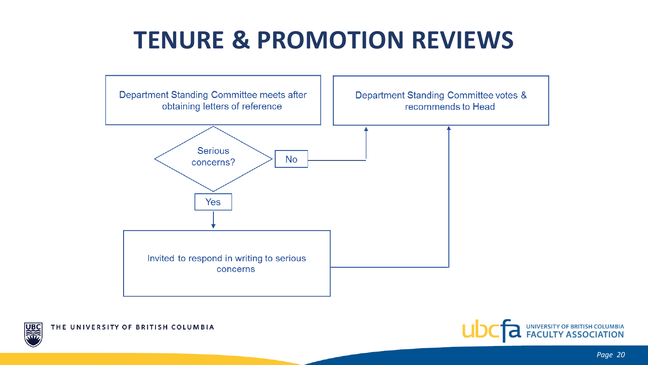



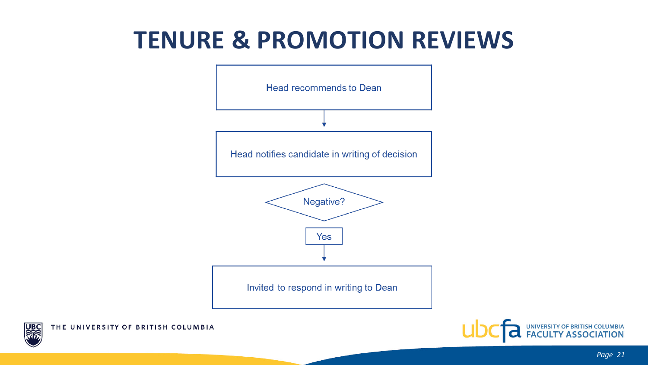



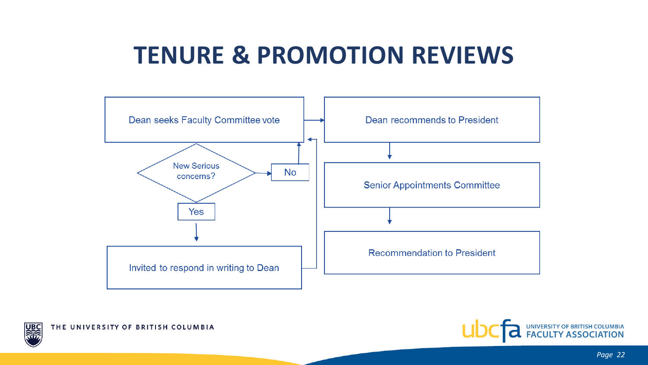



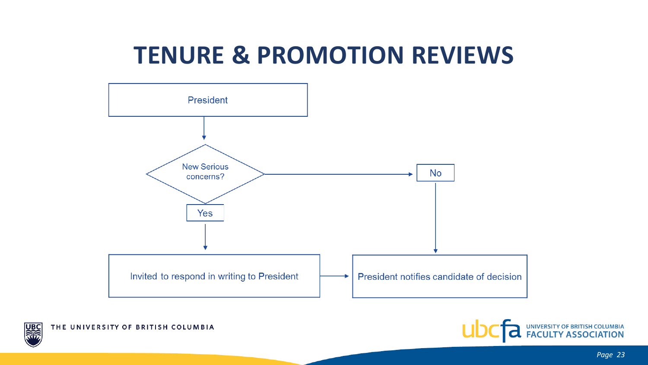

THE UNIVERSITY OF BRITISH COLUMBIA

JB

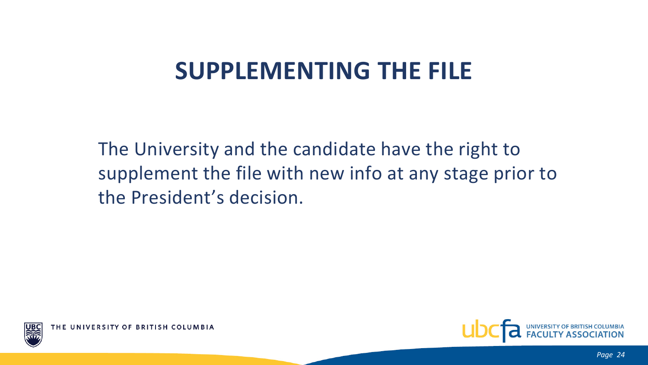# **SUPPLEMENTING THE FILE**

The University and the candidate have the right to supplement the file with new info at any stage prior to the President's decision.



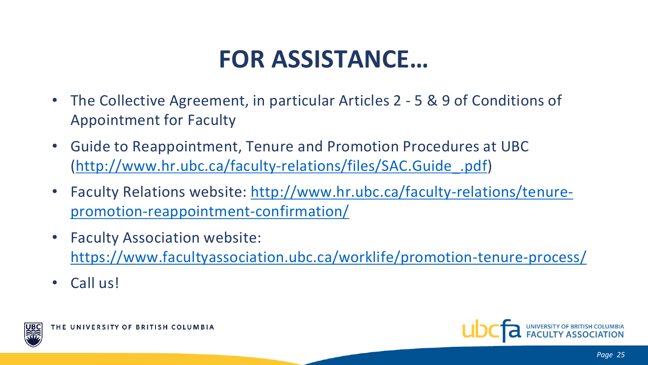# **FOR ASSISTANCE…**

- The Collective Agreement, in particular Articles 2 5 & 9 of Conditions of Appointment for Faculty
- Guide to Reappointment, Tenure and Promotion Procedures at UBC ([http://www.hr.ubc.ca/faculty-relations/files/SAC.Guide\\_.pdf](http://www.hr.ubc.ca/faculty-relations/files/SAC.Guide_.pdf))
- [Faculty Relations website: http://www.hr.ubc.ca/faculty-relations/tenure](http://www.hr.ubc.ca/faculty-relations/tenure-promotion-reappointment-confirmation/)promotion-reappointment-confirmation/
- Faculty Association website: <https://www.facultyassociation.ubc.ca/worklife/promotion-tenure-process/>
- Call us!



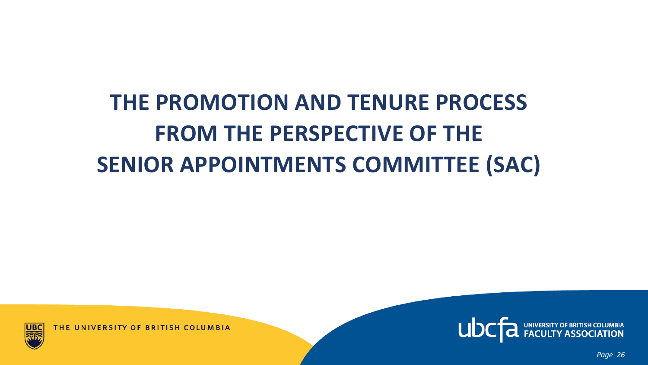# **THE PROMOTION AND TENURE PROCESS FROM THE PERSPECTIVE OF THE SENIOR APPOINTMENTS COMMITTEE (SAC)**



THE UNIVERSITY OF BRITISH COLUMBIA



*Page 26*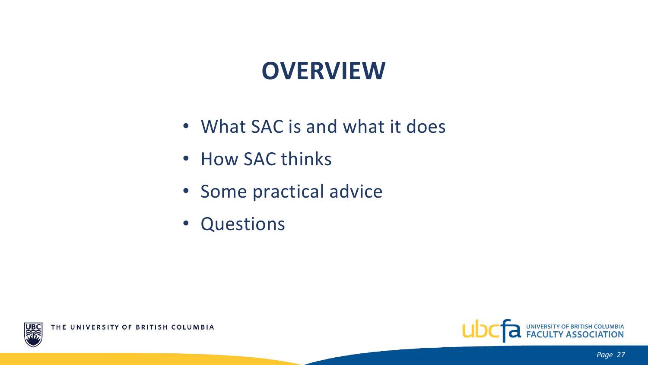# **OVERVIEW**

- What SAC is and what it does
- How SAC thinks
- Some practical advice
- Questions



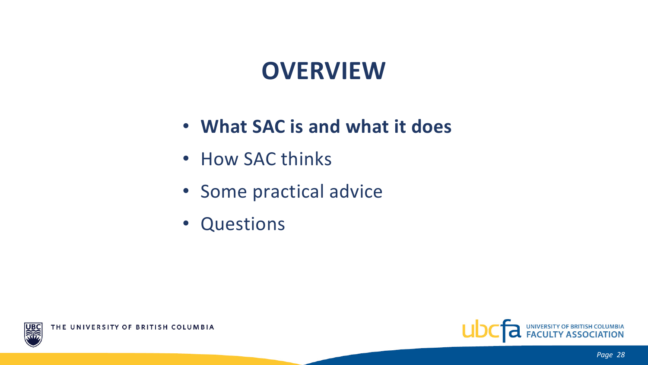#### **OVERVIEW**

- **What SAC is and what it does**
- How SAC thinks
- Some practical advice
- Questions



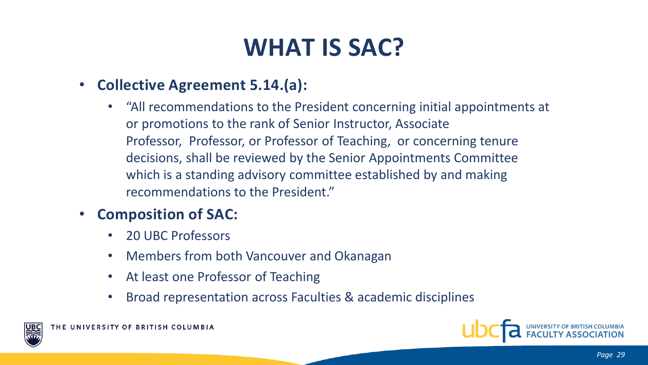# **WHAT IS SAC?**

- **Collective Agreement 5.14.(a):**
	- "All recommendations to the President concerning initial appointments at or promotions to the rank of Senior Instructor, Associate Professor, Professor, or Professor of Teaching, or concerning tenure decisions, shall be reviewed by the Senior Appointments Committee which is a standing advisory committee established by and making recommendations to the President."
- **Composition of SAC:**
	- 20 UBC Professors
	- Members from both Vancouver and Okanagan
	- At least one Professor of Teaching
	- Broad representation across Faculties & academic disciplines



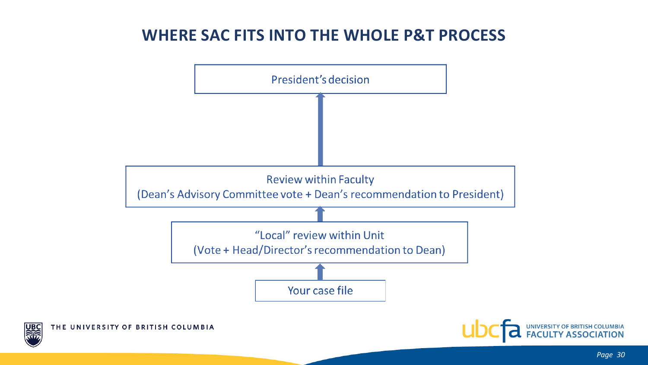#### **WHERE SAC FITS INTO THE WHOLE P&T PROCESS**

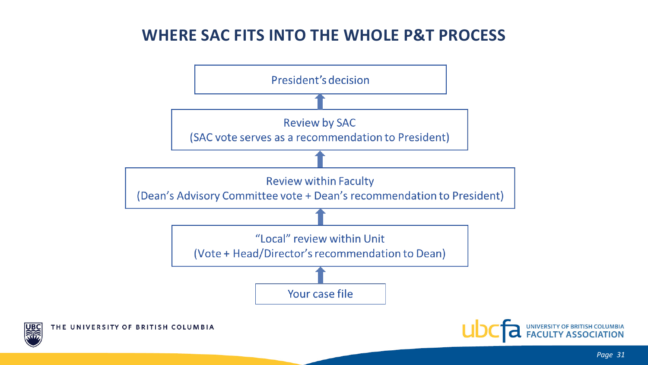#### **WHERE SAC FITS INTO THE WHOLE P&T PROCESS**

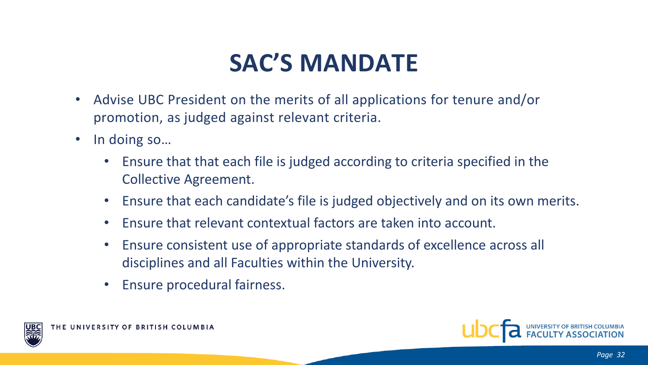# **SAC'S MANDATE**

- Advise UBC President on the merits of all applications for tenure and/or promotion, as judged against relevant criteria.
- In doing so...
	- Ensure that that each file is judged according to criteria specified in the Collective Agreement.
	- Ensure that each candidate's file is judged objectively and on its own merits.
	- Ensure that relevant contextual factors are taken into account.
	- Ensure consistent use of appropriate standards of excellence across all disciplines and all Faculties within the University.
	- Ensure procedural fairness.



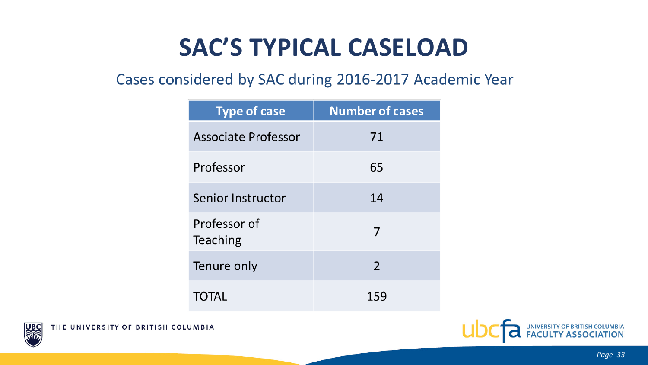# **SAC'S TYPICAL CASELOAD**

#### Cases considered by SAC during 2016-2017 Academic Year

| <b>Type of case</b>      | <b>Number of cases</b> |  |
|--------------------------|------------------------|--|
| Associate Professor      | 71                     |  |
| Professor                | 65                     |  |
| Senior Instructor        | 14                     |  |
| Professor of<br>Teaching | 7                      |  |
| Tenure only              | 2                      |  |
| TOTAL                    | 159                    |  |





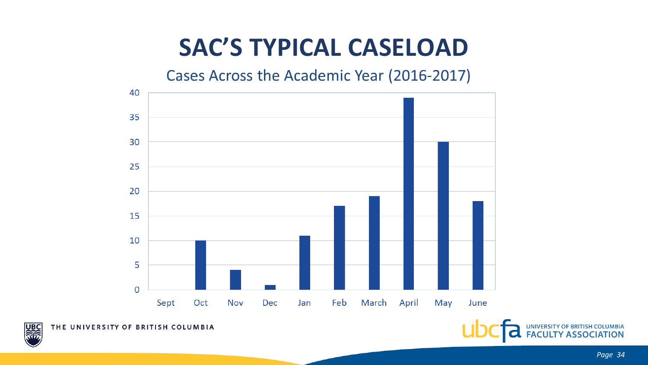# **SAC'S TYPICAL CASELOAD**

Cases Across the Academic Year (2016-2017)





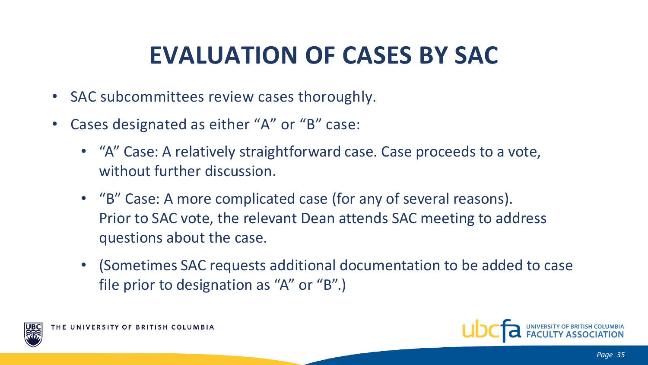# **EVALUATION OF CASES BY SAC**

- SAC subcommittees review cases thoroughly.
- Cases designated as either "A" or "B" case:
	- "A" Case: A relatively straightforward case. Case proceeds to a vote, without further discussion.
	- "B" Case: A more complicated case (for any of several reasons). Prior to SAC vote, the relevant Dean attends SAC meeting to address questions about the case.
	- (Sometimes SAC requests additional documentation to be added to case file prior to designation as "A" or "B".)



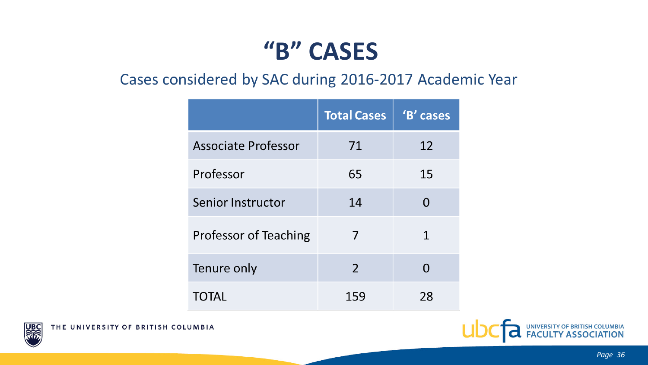#### **"B" CASES**

#### Cases considered by SAC during 2016-2017 Academic Year

|                            | <b>Total Cases</b> | 'B' cases |
|----------------------------|--------------------|-----------|
| <b>Associate Professor</b> | 71                 | 12        |
| Professor                  | 65                 | 15        |
| Senior Instructor          | 14                 | O         |
| Professor of Teaching      | 7                  | 1         |
| Tenure only                | 2                  |           |
| TOTAL                      | 159                | 28        |



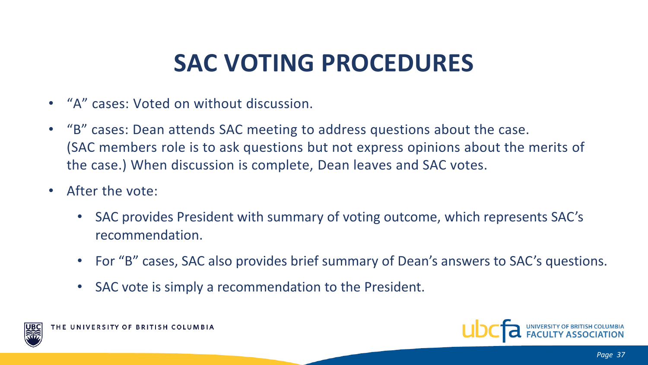# **SAC VOTING PROCEDURES**

- "A" cases: Voted on without discussion.
- "B" cases: Dean attends SAC meeting to address questions about the case. (SAC members role is to ask questions but not express opinions about the merits of the case.) When discussion is complete, Dean leaves and SAC votes.
- After the vote:
	- SAC provides President with summary of voting outcome, which represents SAC's recommendation.
	- For "B" cases, SAC also provides brief summary of Dean's answers to SAC's questions.
	- SAC vote is simply a recommendation to the President.



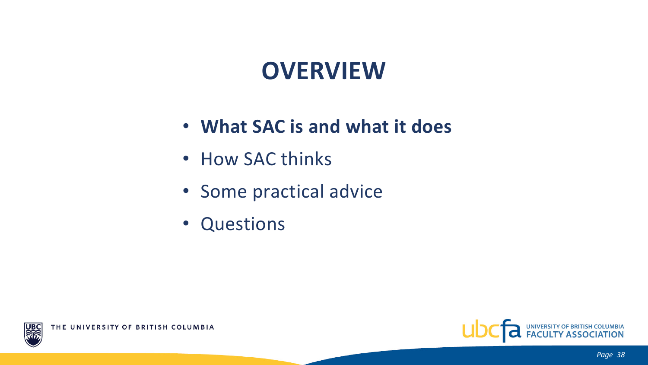### **OVERVIEW**

- **What SAC is and what it does**
- How SAC thinks
- Some practical advice
- Questions



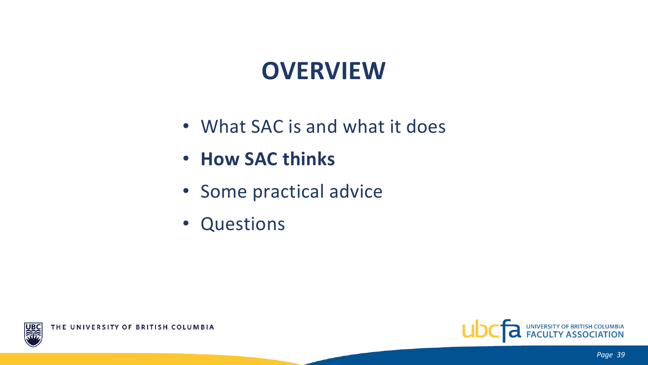# **OVERVIEW**

- What SAC is and what it does
- **How SAC thinks**
- Some practical advice
- Questions



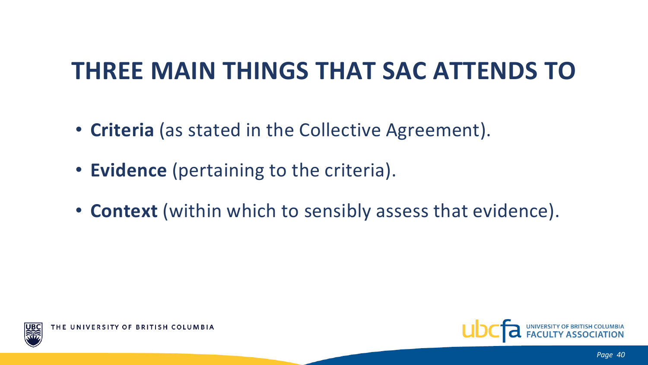## **THREE MAIN THINGS THAT SAC ATTENDS TO**

- **Criteria** (as stated in the Collective Agreement).
- **Evidence** (pertaining to the criteria).
- **Context** (within which to sensibly assess that evidence).



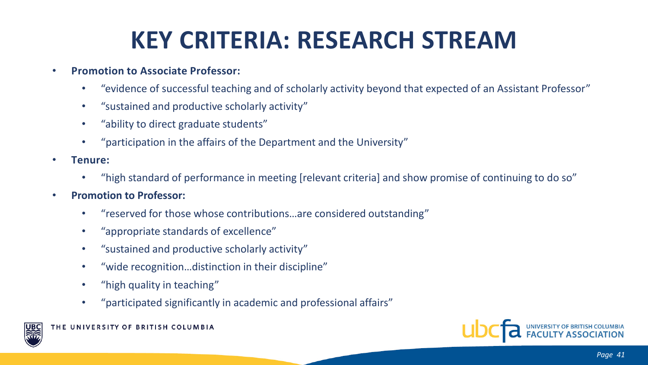# **KEY CRITERIA: RESEARCH STREAM**

#### • **Promotion to Associate Professor:**

- "evidence of successful teaching and of scholarly activity beyond that expected of an Assistant Professor"
- "sustained and productive scholarly activity"
- "ability to direct graduate students"
- "participation in the affairs of the Department and the University"
- **Tenure:** 
	- "high standard of performance in meeting [relevant criteria] and show promise of continuing to do so"
- **Promotion to Professor:** 
	- "reserved for those whose contributions…are considered outstanding"
	- "appropriate standards of excellence"
	- "sustained and productive scholarly activity"
	- "wide recognition…distinction in their discipline"
	- "high quality in teaching"
	- "participated significantly in academic and professional affairs"



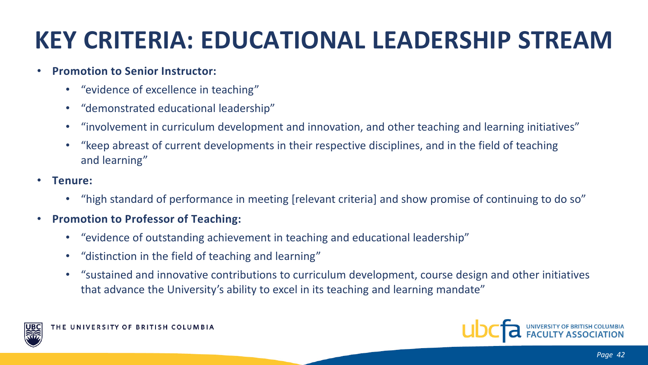# **KEY CRITERIA: EDUCATIONAL LEADERSHIP STREAM**

#### • **Promotion to Senior Instructor:**

- "evidence of excellence in teaching"
- "demonstrated educational leadership"
- "involvement in curriculum development and innovation, and other teaching and learning initiatives"
- "keep abreast of current developments in their respective disciplines, and in the field of teaching and learning"
- **Tenure:** 
	- "high standard of performance in meeting [relevant criteria] and show promise of continuing to do so"
- **Promotion to Professor of Teaching:** 
	- "evidence of outstanding achievement in teaching and educational leadership"
	- "distinction in the field of teaching and learning"
	- "sustained and innovative contributions to curriculum development, course design and other initiatives that advance the University's ability to excel in its teaching and learning mandate"



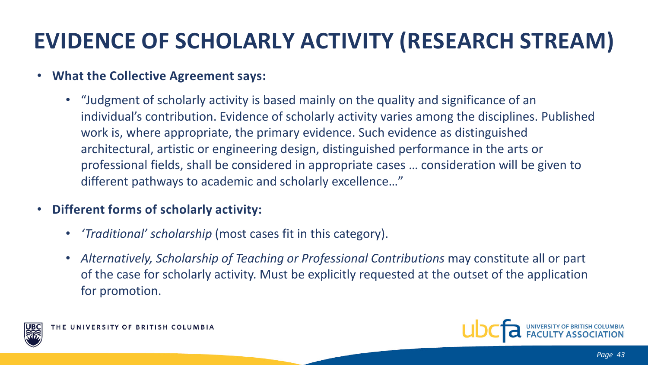#### **EVIDENCE OF SCHOLARLY ACTIVITY (RESEARCH STREAM)**

#### • **What the Collective Agreement says:**

• "Judgment of scholarly activity is based mainly on the quality and significance of an individual's contribution. Evidence of scholarly activity varies among the disciplines. Published work is, where appropriate, the primary evidence. Such evidence as distinguished architectural, artistic or engineering design, distinguished performance in the arts or professional fields, shall be considered in appropriate cases … consideration will be given to different pathways to academic and scholarly excellence…"

#### • **Different forms of scholarly activity:**

- *'Traditional' scholarship* (most cases fit in this category).
- *Alternatively, Scholarship of Teaching or Professional Contributions* may constitute all or part of the case for scholarly activity. Must be explicitly requested at the outset of the application for promotion.



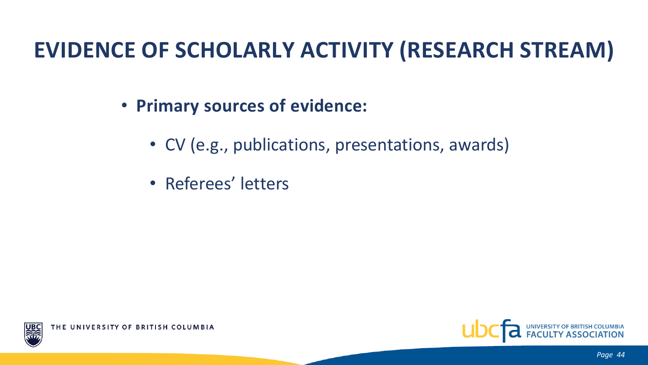#### **EVIDENCE OF SCHOLARLY ACTIVITY (RESEARCH STREAM)**

- **Primary sources of evidence:**
	- CV (e.g., publications, presentations, awards)
	- Referees' letters

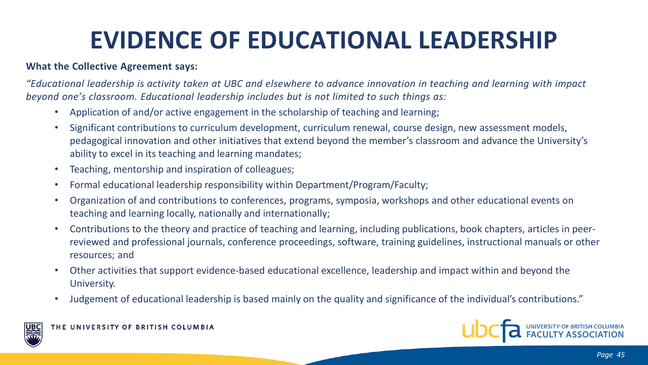# **EVIDENCE OF EDUCATIONAL LEADERSHIP**

#### **What the Collective Agreement says:**

*"Educational leadership is activity taken at UBC and elsewhere to advance innovation in teaching and learning with impact beyond one's classroom. Educational leadership includes but is not limited to such things as:*

- Application of and/or active engagement in the scholarship of teaching and learning;
- Significant contributions to curriculum development, curriculum renewal, course design, new assessment models, pedagogical innovation and other initiatives that extend beyond the member's classroom and advance the University's ability to excel in its teaching and learning mandates;
- Teaching, mentorship and inspiration of colleagues;
- Formal educational leadership responsibility within Department/Program/Faculty;
- Organization of and contributions to conferences, programs, symposia, workshops and other educational events on teaching and learning locally, nationally and internationally;
- Contributions to the theory and practice of teaching and learning, including publications, book chapters, articles in peerreviewed and professional journals, conference proceedings, software, training guidelines, instructional manuals or other resources; and
- Other activities that support evidence-based educational excellence, leadership and impact within and beyond the University.
- Judgement of educational leadership is based mainly on the quality and significance of the individual's contributions."



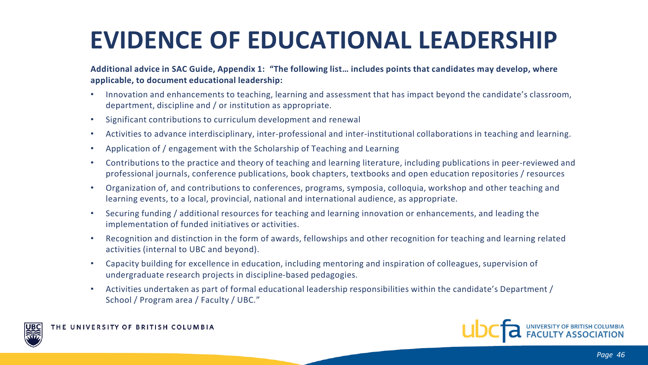# **EVIDENCE OF EDUCATIONAL LEADERSHIP**

#### **Additional advice in SAC Guide, Appendix 1: "The following list… includes points that candidates may develop, where applicable, to document educational leadership:**

- Innovation and enhancements to teaching, learning and assessment that has impact beyond the candidate's classroom, department, discipline and / or institution as appropriate.
- Significant contributions to curriculum development and renewal
- Activities to advance interdisciplinary, inter-professional and inter-institutional collaborations in teaching and learning.
- Application of / engagement with the Scholarship of Teaching and Learning
- Contributions to the practice and theory of teaching and learning literature, including publications in peer-reviewed and professional journals, conference publications, book chapters, textbooks and open education repositories / resources
- Organization of, and contributions to conferences, programs, symposia, colloquia, workshop and other teaching and learning events, to a local, provincial, national and international audience, as appropriate.
- Securing funding / additional resources for teaching and learning innovation or enhancements, and leading the implementation of funded initiatives or activities.
- Recognition and distinction in the form of awards, fellowships and other recognition for teaching and learning related activities (internal to UBC and beyond).
- Capacity building for excellence in education, including mentoring and inspiration of colleagues, supervision of undergraduate research projects in discipline-based pedagogies.
- Activities undertaken as part of formal educational leadership responsibilities within the candidate's Department / School / Program area / Faculty / UBC."



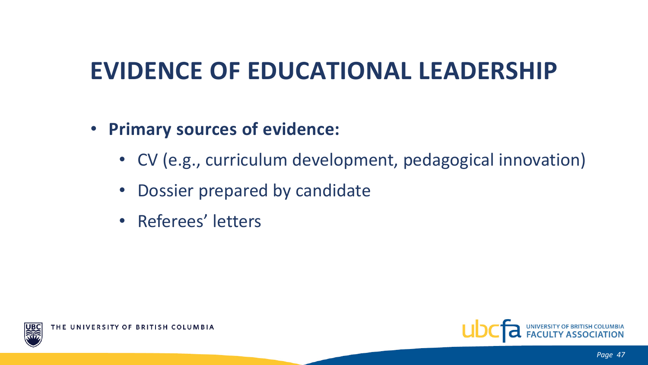# **EVIDENCE OF EDUCATIONAL LEADERSHIP**

- **Primary sources of evidence:**
	- CV (e.g., curriculum development, pedagogical innovation)
	- Dossier prepared by candidate
	- Referees' letters



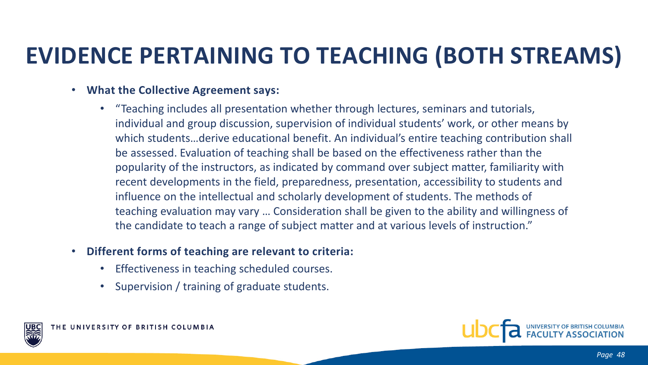#### **EVIDENCE PERTAINING TO TEACHING (BOTH STREAMS)**

- **What the Collective Agreement says:** 
	- "Teaching includes all presentation whether through lectures, seminars and tutorials, individual and group discussion, supervision of individual students' work, or other means by which students…derive educational benefit. An individual's entire teaching contribution shall be assessed. Evaluation of teaching shall be based on the effectiveness rather than the popularity of the instructors, as indicated by command over subject matter, familiarity with recent developments in the field, preparedness, presentation, accessibility to students and influence on the intellectual and scholarly development of students. The methods of teaching evaluation may vary … Consideration shall be given to the ability and willingness of the candidate to teach a range of subject matter and at various levels of instruction."
- **Different forms of teaching are relevant to criteria:**
	- Effectiveness in teaching scheduled courses.
	- Supervision / training of graduate students.





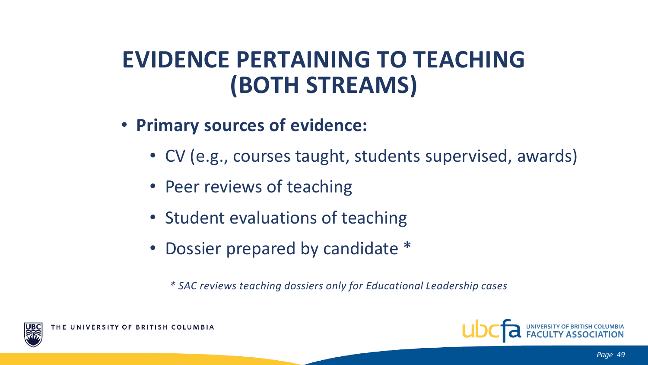#### **EVIDENCE PERTAINING TO TEACHING (BOTH STREAMS)**

- **Primary sources of evidence:**
	- CV (e.g., courses taught, students supervised, awards)
	- Peer reviews of teaching
	- Student evaluations of teaching
	- Dossier prepared by candidate \*

*\* SAC reviews teaching dossiers only for Educational Leadership cases*



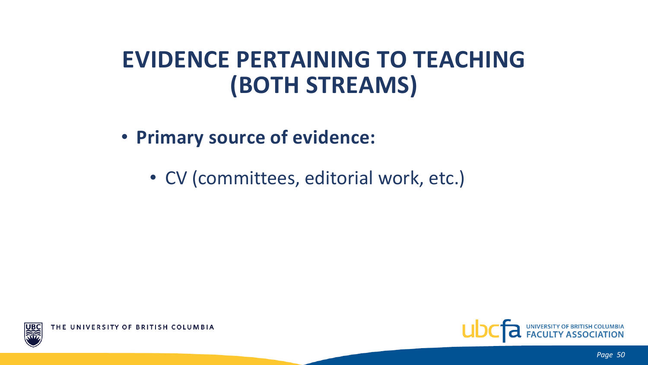#### **EVIDENCE PERTAINING TO TEACHING (BOTH STREAMS)**

- **Primary source of evidence:**
	- CV (committees, editorial work, etc.)



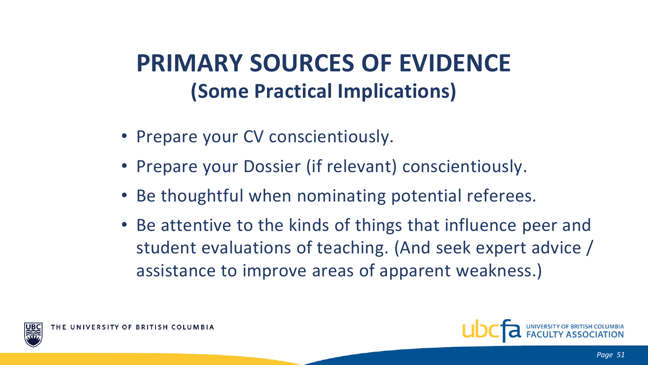## **PRIMARY SOURCES OF EVIDENCE (Some Practical Implications)**

- Prepare your CV conscientiously.
- Prepare your Dossier (if relevant) conscientiously.
- Be thoughtful when nominating potential referees.
- Be attentive to the kinds of things that influence peer and student evaluations of teaching. (And seek expert advice / assistance to improve areas of apparent weakness.)





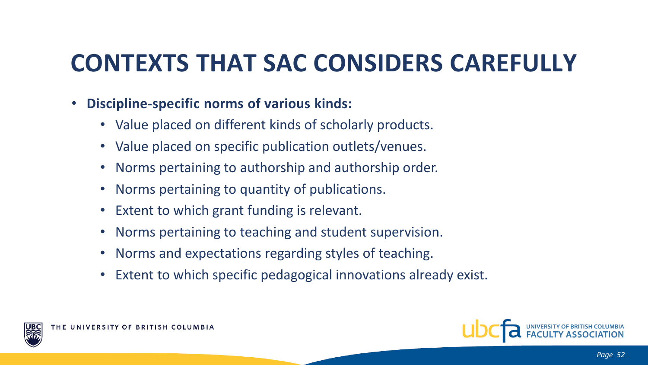# **CONTEXTS THAT SAC CONSIDERS CAREFULLY**

- **Discipline-specific norms of various kinds:**
	- Value placed on different kinds of scholarly products.
	- Value placed on specific publication outlets/venues.
	- Norms pertaining to authorship and authorship order.
	- Norms pertaining to quantity of publications.
	- Extent to which grant funding is relevant.
	- Norms pertaining to teaching and student supervision.
	- Norms and expectations regarding styles of teaching.
	- Extent to which specific pedagogical innovations already exist.



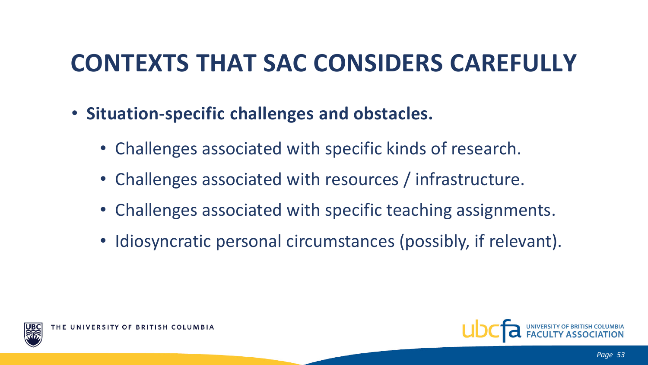# **CONTEXTS THAT SAC CONSIDERS CAREFULLY**

- **Situation-specific challenges and obstacles.**
	- Challenges associated with specific kinds of research.
	- Challenges associated with resources / infrastructure.
	- Challenges associated with specific teaching assignments.
	- Idiosyncratic personal circumstances (possibly, if relevant).



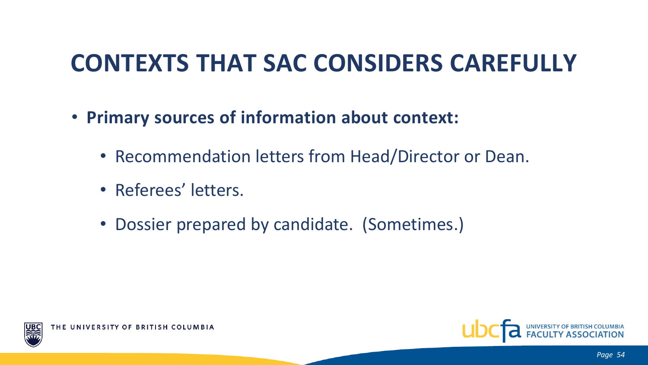# **CONTEXTS THAT SAC CONSIDERS CAREFULLY**

- **Primary sources of information about context:**
	- Recommendation letters from Head/Director or Dean.
	- Referees' letters.
	- Dossier prepared by candidate. (Sometimes.)



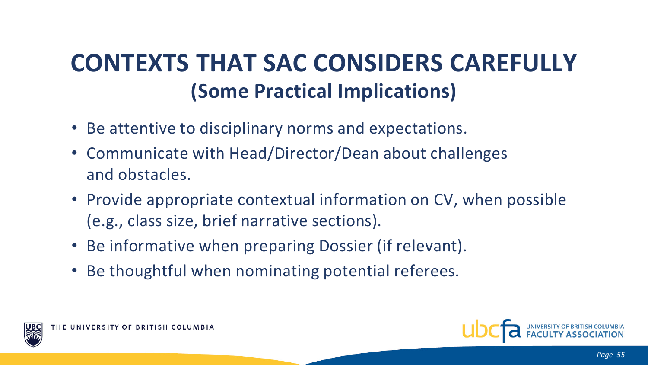# **CONTEXTS THAT SAC CONSIDERS CAREFULLY (Some Practical Implications)**

- Be attentive to disciplinary norms and expectations.
- Communicate with Head/Director/Dean about challenges and obstacles.
- Provide appropriate contextual information on CV, when possible (e.g., class size, brief narrative sections).
- Be informative when preparing Dossier (if relevant).
- Be thoughtful when nominating potential referees.





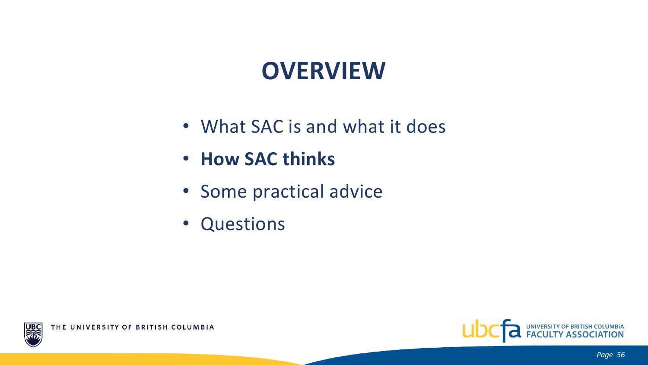# **OVERVIEW**

- What SAC is and what it does
- **How SAC thinks**
- Some practical advice
- Questions



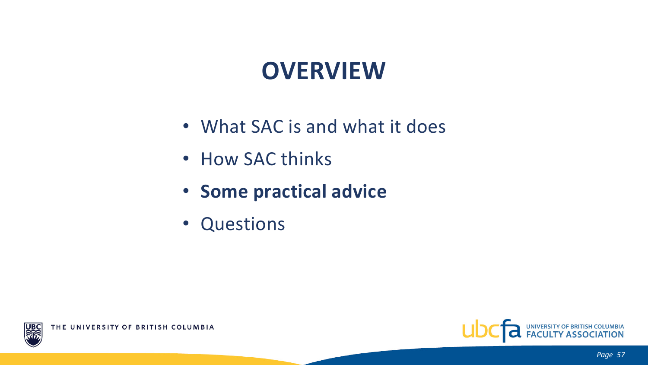# **OVERVIEW**

- What SAC is and what it does
- How SAC thinks
- **Some practical advice**
- Questions



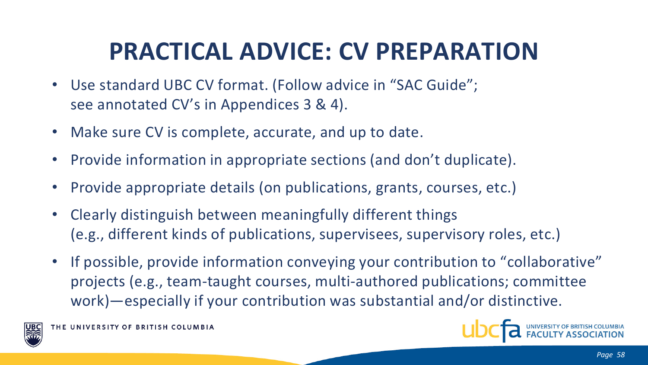# **PRACTICAL ADVICE: CV PREPARATION**

- Use standard UBC CV format. (Follow advice in "SAC Guide"; see annotated CV's in Appendices 3 & 4).
- Make sure CV is complete, accurate, and up to date.
- Provide information in appropriate sections (and don't duplicate).
- Provide appropriate details (on publications, grants, courses, etc.)
- Clearly distinguish between meaningfully different things (e.g., different kinds of publications, supervisees, supervisory roles, etc.)
- If possible, provide information conveying your contribution to "collaborative" projects (e.g., team-taught courses, multi-authored publications; committee work)—especially if your contribution was substantial and/or distinctive.



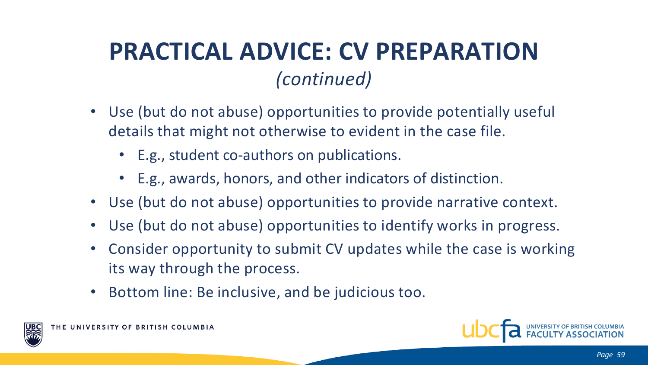## **PRACTICAL ADVICE: CV PREPARATION** *(continued)*

- Use (but do not abuse) opportunities to provide potentially useful details that might not otherwise to evident in the case file.
	- E.g., student co-authors on publications.
	- E.g., awards, honors, and other indicators of distinction.
- Use (but do not abuse) opportunities to provide narrative context.
- Use (but do not abuse) opportunities to identify works in progress.
- Consider opportunity to submit CV updates while the case is working its way through the process.
- Bottom line: Be inclusive, and be judicious too.



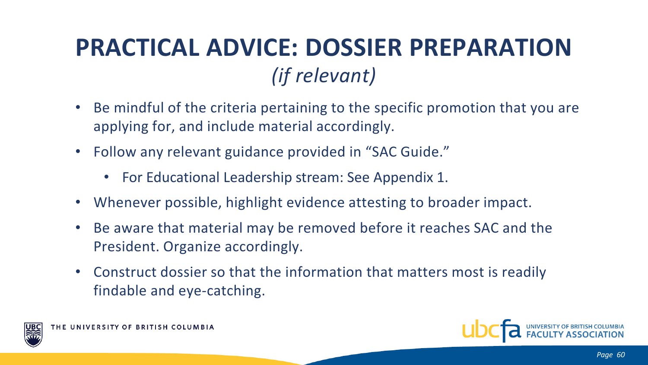# **PRACTICAL ADVICE: DOSSIER PREPARATION** *(if relevant)*

- Be mindful of the criteria pertaining to the specific promotion that you are applying for, and include material accordingly.
- Follow any relevant guidance provided in "SAC Guide."
	- For Educational Leadership stream: See Appendix 1.
- Whenever possible, highlight evidence attesting to broader impact.
- Be aware that material may be removed before it reaches SAC and the President. Organize accordingly.
- Construct dossier so that the information that matters most is readily findable and eye-catching.



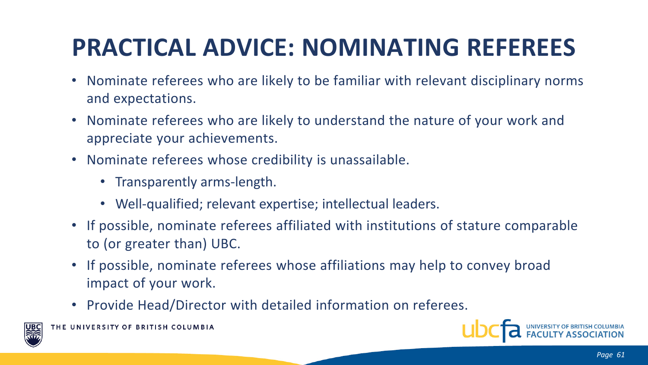# **PRACTICAL ADVICE: NOMINATING REFEREES**

- Nominate referees who are likely to be familiar with relevant disciplinary norms and expectations.
- Nominate referees who are likely to understand the nature of your work and appreciate your achievements.
- Nominate referees whose credibility is unassailable.
	- Transparently arms-length.
	- Well-qualified; relevant expertise; intellectual leaders.
- If possible, nominate referees affiliated with institutions of stature comparable to (or greater than) UBC.
- If possible, nominate referees whose affiliations may help to convey broad impact of your work.
- Provide Head/Director with detailed information on referees.



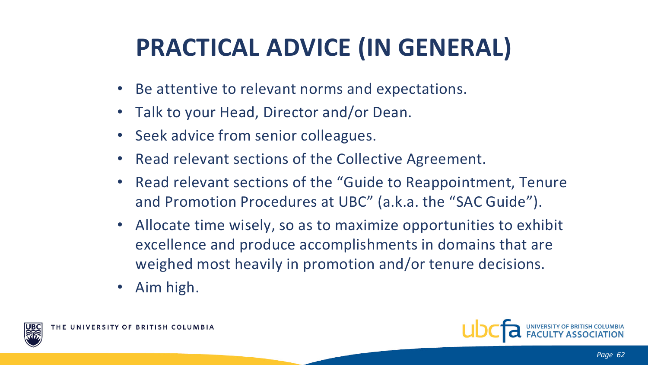# **PRACTICAL ADVICE (IN GENERAL)**

- Be attentive to relevant norms and expectations.
- Talk to your Head, Director and/or Dean.
- Seek advice from senior colleagues.
- Read relevant sections of the Collective Agreement.
- Read relevant sections of the "Guide to Reappointment, Tenure and Promotion Procedures at UBC" (a.k.a. the "SAC Guide").
- Allocate time wisely, so as to maximize opportunities to exhibit excellence and produce accomplishments in domains that are weighed most heavily in promotion and/or tenure decisions.
- Aim high.





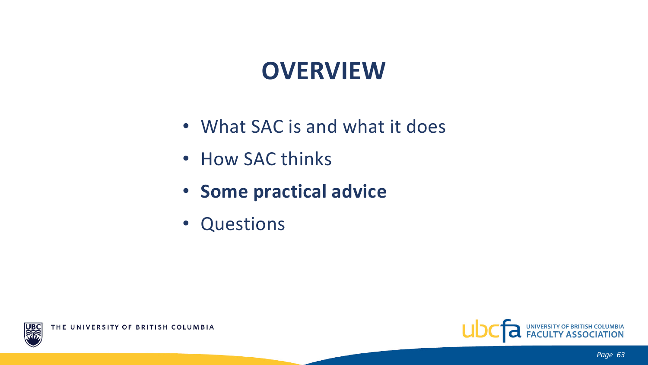# **OVERVIEW**

- What SAC is and what it does
- How SAC thinks
- **Some practical advice**
- Questions



UB